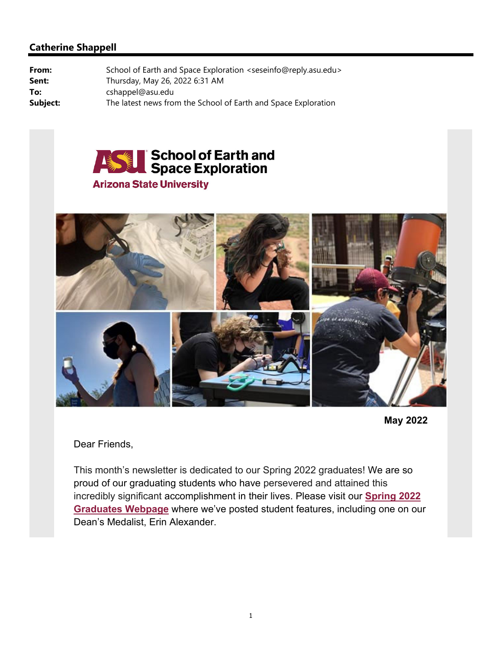

#### **Arizona State University**





#### Dear Friends,

This month's newsletter is dedicated to our Spring 2022 graduates! We are so proud of our graduating students who have persevered and attained this incredibly significant accomplishment in their lives. Please visit our **[Spring 2022](https://sese.asu.edu/graduation-2022)  [Graduates Webpage](https://sese.asu.edu/graduation-2022)** where we've posted student features, including one on our Dean's Medalist, Erin Alexander.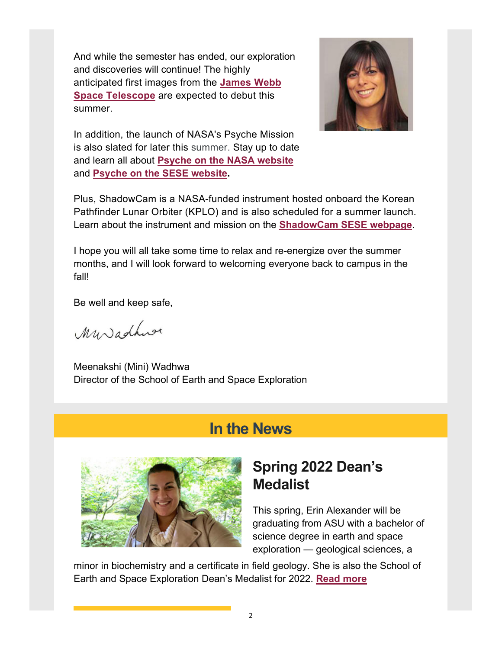And while the semester has ended, our exploration and discoveries will continue! The highly anticipated first images from the **[James Webb](https://www.jwst.nasa.gov/index.html)  [Space Telescope](https://www.jwst.nasa.gov/index.html)** are expected to debut this summer.



In addition, the launch of NASA's Psyche Mission is also slated for later this summer. Stay up to date and learn all about **[Psyche on the NASA website](https://www.jpl.nasa.gov/missions/psyche)** and **[Psyche on the SESE website.](https://psyche.asu.edu/)**

Plus, ShadowCam is a NASA-funded instrument hosted onboard the Korean Pathfinder Lunar Orbiter (KPLO) and is also scheduled for a summer launch. Learn about the instrument and mission on the **[ShadowCam SESE webpage](http://shadowcam.sese.asu.edu/)**.

I hope you will all take some time to relax and re-energize over the summer months, and I will look forward to welcoming everyone back to campus in the fall!

Be well and keep safe,

Muradhuse

Meenakshi (Mini) Wadhwa Director of the School of Earth and Space Exploration

#### **In the News**



## **Spring 2022 Dean's Medalist**

This spring, Erin Alexander will be graduating from ASU with a bachelor of science degree in earth and space exploration — geological sciences, a

minor in biochemistry and a certificate in field geology. She is also the School of Earth and Space Exploration Dean's Medalist for 2022. **[Read more](https://news.asu.edu/20220503-earth-and-space-exploration-major-recognized-spring-2022-deans-medalist)**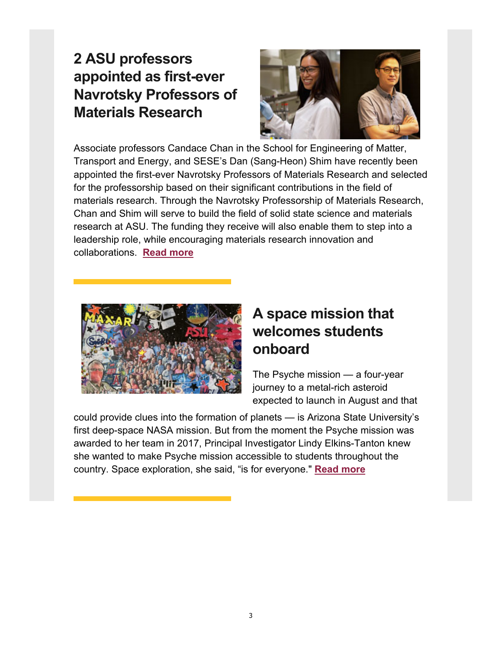## **2 ASU professors appointed as first-ever Navrotsky Professors of Materials Research**



Associate professors Candace Chan in the School for Engineering of Matter, Transport and Energy, and SESE's Dan (Sang-Heon) Shim have recently been appointed the first-ever Navrotsky Professors of Materials Research and selected for the professorship based on their significant contributions in the field of materials research. Through the Navrotsky Professorship of Materials Research, Chan and Shim will serve to build the field of solid state science and materials research at ASU. The funding they receive will also enable them to step into a leadership role, while encouraging materials research innovation and collaborations. **[Read more](https://news.asu.edu/20220503-2-asu-professors-appointed-firstever-navrotsky-professors-materials-research)**



# **A space mission that welcomes students onboard**

The Psyche mission — a four-year journey to a metal-rich asteroid expected to launch in August and that

could provide clues into the formation of planets — is Arizona State University's first deep-space NASA mission. But from the moment the Psyche mission was awarded to her team in 2017, Principal Investigator Lindy Elkins-Tanton knew she wanted to make Psyche mission accessible to students throughout the country. Space exploration, she said, "is for everyone." **[Read more](https://news.asu.edu/20220428-creativity-space-mission-welcomes-students-onboard)**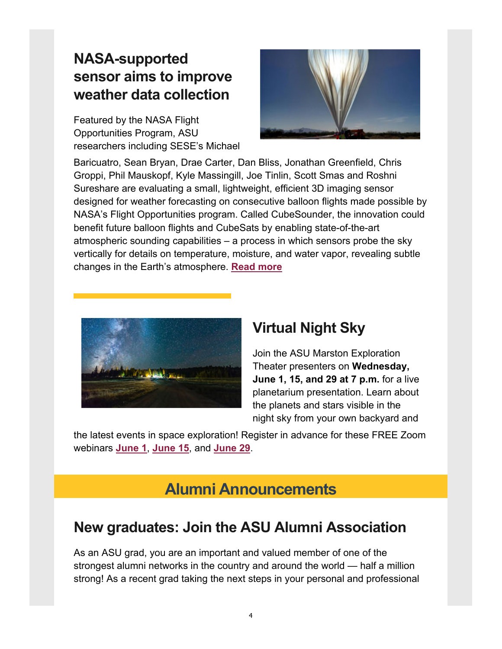## **NASA-supported sensor aims to improve weather data collection**

Featured by the NASA Flight Opportunities Program, ASU researchers including SESE's Michael



Baricuatro, Sean Bryan, Drae Carter, Dan Bliss, Jonathan Greenfield, Chris Groppi, Phil Mauskopf, Kyle Massingill, Joe Tinlin, Scott Smas and Roshni Sureshare are evaluating a small, lightweight, efficient 3D imaging sensor designed for weather forecasting on consecutive balloon flights made possible by NASA's Flight Opportunities program. Called CubeSounder, the innovation could benefit future balloon flights and CubeSats by enabling state-of-the-art atmospheric sounding capabilities – a process in which sensors probe the sky vertically for details on temperature, moisture, and water vapor, revealing subtle changes in the Earth's atmosphere. **[Read more](https://www.nasa.gov/centers/armstrong/features/sensor-aims-to-improve-weather-data-collection.html)**



#### **Virtual Night Sky**

Join the ASU Marston Exploration Theater presenters on **Wednesday, June 1, 15, and 29 at 7 p.m.** for a live planetarium presentation. Learn about the planets and stars visible in the night sky from your own backyard and

the latest events in space exploration! Register in advance for these FREE Zoom webinars **June 1**, **June 15**, and **[June 29](https://sese.asu.edu/events)**.

#### **Alumni Announcements**

#### **New graduates: Join the ASU Alumni Association**

As an ASU grad, you are an important and valued member of one of the strongest alumni networks in the country and around the world — half a million strong! As a recent grad taking the next steps in your personal and professional